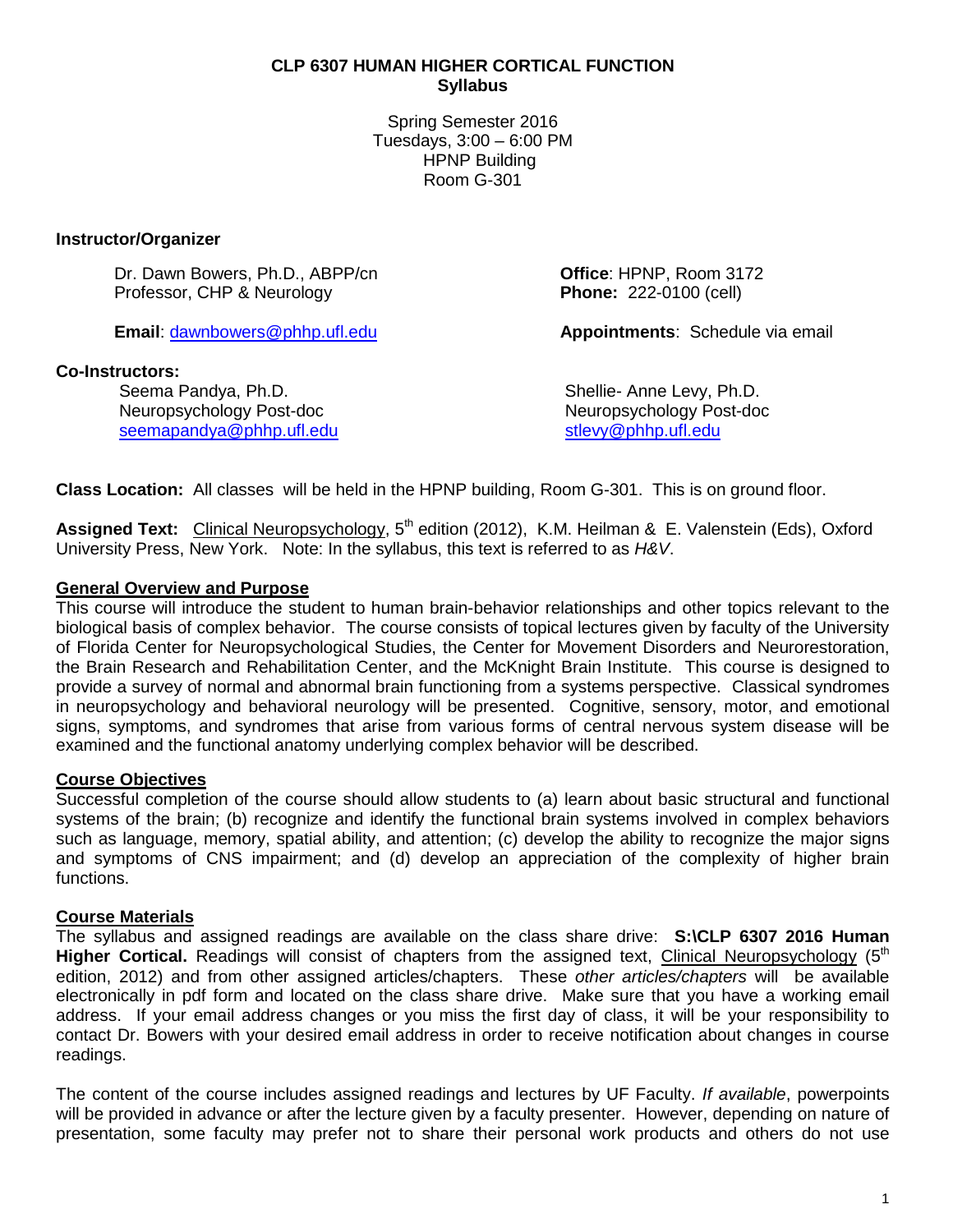#### **CLP 6307 HUMAN HIGHER CORTICAL FUNCTION Syllabus**

Spring Semester 2016 Tuesdays, 3:00 – 6:00 PM HPNP Building Room G-301

#### **Instructor/Organizer**

Dr. Dawn Bowers, Ph.D., ABPP/cn<br>
Professor. CHP & Neurology **Detail Professor** CHP & Neurology **Detail Phone:** 222-0100 (cell) Professor, CHP & Neurology

#### **Co-Instructors:**

Seema Pandya, Ph.D.<br>Neuropsychology Post-doc Neuropsychology Post-doc [seemapandya@phhp.ufl.edu](mailto:seemapandya@phhp.ufl.edu)

**Email**: [dawnbowers@phhp.ufl.edu](mailto:dawnbowers@phhp.ufl.edu) **Appointments**: Schedule via email

Neuropsychology Post-doc<br>stlevy@phhp.ufl.edu

**Class Location:** All classes will be held in the HPNP building, Room G-301. This is on ground floor.

Assigned Text: Clinical Neuropsychology, 5<sup>th</sup> edition (2012), K.M. Heilman & E. Valenstein (Eds), Oxford University Press, New York. Note: In the syllabus, this text is referred to as *H&V*.

#### **General Overview and Purpose**

This course will introduce the student to human brain-behavior relationships and other topics relevant to the biological basis of complex behavior. The course consists of topical lectures given by faculty of the University of Florida Center for Neuropsychological Studies, the Center for Movement Disorders and Neurorestoration, the Brain Research and Rehabilitation Center, and the McKnight Brain Institute. This course is designed to provide a survey of normal and abnormal brain functioning from a systems perspective. Classical syndromes in neuropsychology and behavioral neurology will be presented. Cognitive, sensory, motor, and emotional signs, symptoms, and syndromes that arise from various forms of central nervous system disease will be examined and the functional anatomy underlying complex behavior will be described.

# **Course Objectives**

Successful completion of the course should allow students to (a) learn about basic structural and functional systems of the brain; (b) recognize and identify the functional brain systems involved in complex behaviors such as language, memory, spatial ability, and attention; (c) develop the ability to recognize the major signs and symptoms of CNS impairment; and (d) develop an appreciation of the complexity of higher brain functions.

# **Course Materials**

The syllabus and assigned readings are available on the class share drive: **S:\CLP 6307 2016 Human Higher Cortical.** Readings will consist of chapters from the assigned text, Clinical Neuropsychology (5<sup>th</sup>) edition, 2012) and from other assigned articles/chapters. These *other articles/chapters* will be available electronically in pdf form and located on the class share drive. Make sure that you have a working email address. If your email address changes or you miss the first day of class, it will be your responsibility to contact Dr. Bowers with your desired email address in order to receive notification about changes in course readings.

The content of the course includes assigned readings and lectures by UF Faculty. *If available*, powerpoints will be provided in advance or after the lecture given by a faculty presenter. However, depending on nature of presentation, some faculty may prefer not to share their personal work products and others do not use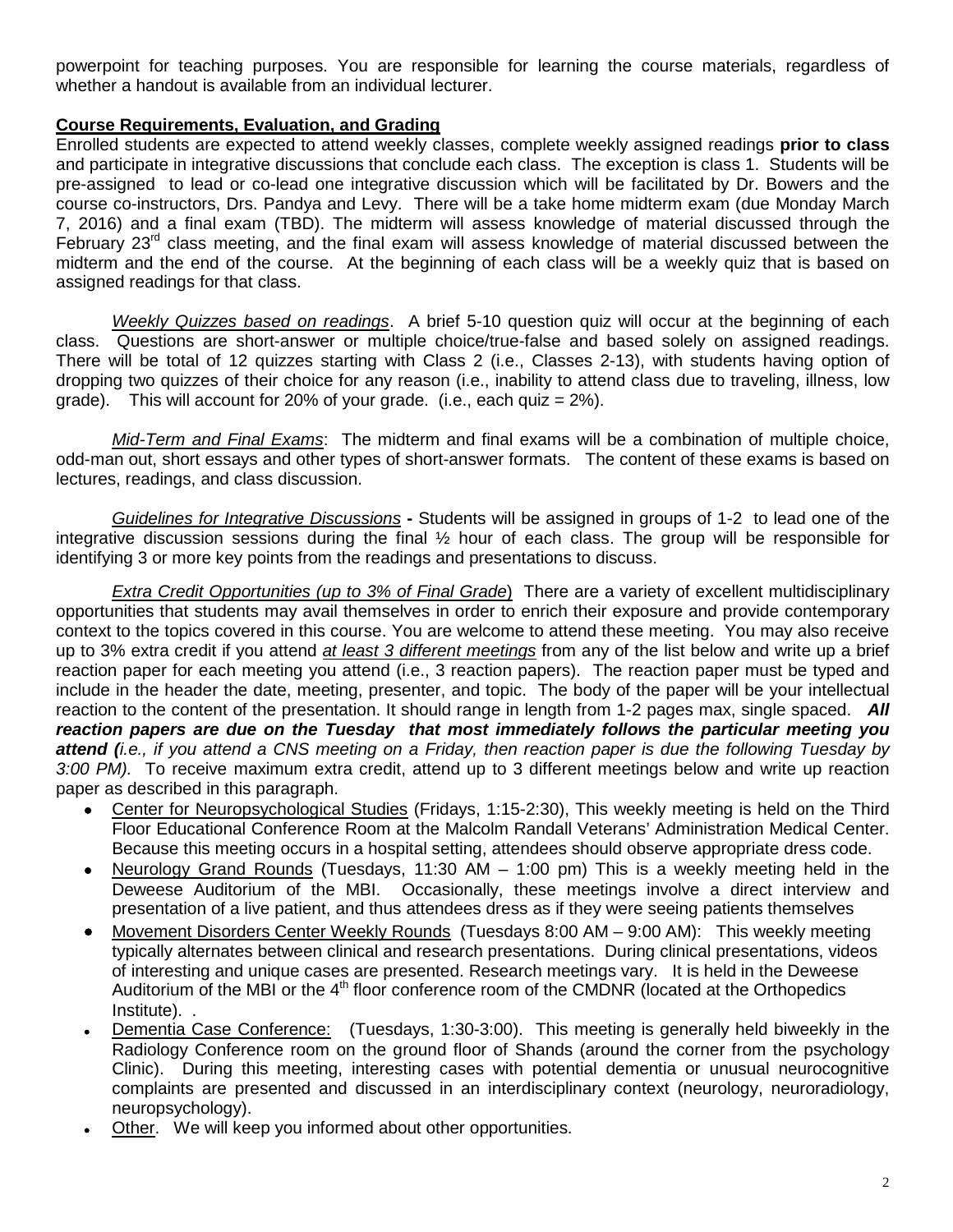powerpoint for teaching purposes. You are responsible for learning the course materials, regardless of whether a handout is available from an individual lecturer.

# **Course Requirements, Evaluation, and Grading**

Enrolled students are expected to attend weekly classes, complete weekly assigned readings **prior to class** and participate in integrative discussions that conclude each class. The exception is class 1. Students will be pre-assigned to lead or co-lead one integrative discussion which will be facilitated by Dr. Bowers and the course co-instructors, Drs. Pandya and Levy. There will be a take home midterm exam (due Monday March 7, 2016) and a final exam (TBD). The midterm will assess knowledge of material discussed through the February 23<sup>rd</sup> class meeting, and the final exam will assess knowledge of material discussed between the midterm and the end of the course. At the beginning of each class will be a weekly quiz that is based on assigned readings for that class.

*Weekly Quizzes based on readings*. A brief 5-10 question quiz will occur at the beginning of each class. Questions are short-answer or multiple choice/true-false and based solely on assigned readings. There will be total of 12 quizzes starting with Class 2 (i.e., Classes 2-13), with students having option of dropping two quizzes of their choice for any reason (i.e., inability to attend class due to traveling, illness, low grade). This will account for 20% of your grade. (i.e., each quiz  $= 2\%$ ).

*Mid-Term and Final Exams*: The midterm and final exams will be a combination of multiple choice, odd-man out, short essays and other types of short-answer formats. The content of these exams is based on lectures, readings, and class discussion.

*Guidelines for Integrative Discussions* **-** Students will be assigned in groups of 1-2 to lead one of the integrative discussion sessions during the final  $\frac{1}{2}$  hour of each class. The group will be responsible for identifying 3 or more key points from the readings and presentations to discuss.

*Extra Credit Opportunities (up to 3% of Final Grade*) There are a variety of excellent multidisciplinary opportunities that students may avail themselves in order to enrich their exposure and provide contemporary context to the topics covered in this course. You are welcome to attend these meeting. You may also receive up to 3% extra credit if you attend *at least 3 different meetings* from any of the list below and write up a brief reaction paper for each meeting you attend (i.e., 3 reaction papers). The reaction paper must be typed and include in the header the date, meeting, presenter, and topic. The body of the paper will be your intellectual reaction to the content of the presentation. It should range in length from 1-2 pages max, single spaced. *All reaction papers are due on the Tuesday that most immediately follows the particular meeting you attend (i.e., if you attend a CNS meeting on a Friday, then reaction paper is due the following Tuesday by 3:00 PM).* To receive maximum extra credit, attend up to 3 different meetings below and write up reaction paper as described in this paragraph.

- Center for Neuropsychological Studies (Fridays, 1:15-2:30), This weekly meeting is held on the Third Floor Educational Conference Room at the Malcolm Randall Veterans' Administration Medical Center. Because this meeting occurs in a hospital setting, attendees should observe appropriate dress code.
- Neurology Grand Rounds (Tuesdays, 11:30 AM 1:00 pm) This is a weekly meeting held in the Deweese Auditorium of the MBI. Occasionally, these meetings involve a direct interview and presentation of a live patient, and thus attendees dress as if they were seeing patients themselves
- Movement Disorders Center Weekly Rounds (Tuesdays 8:00 AM 9:00 AM): This weekly meeting typically alternates between clinical and research presentations. During clinical presentations, videos of interesting and unique cases are presented. Research meetings vary. It is held in the Deweese Auditorium of the MBI or the  $4<sup>th</sup>$  floor conference room of the CMDNR (located at the Orthopedics Institute). .
- Dementia Case Conference: (Tuesdays, 1:30-3:00). This meeting is generally held biweekly in the Radiology Conference room on the ground floor of Shands (around the corner from the psychology Clinic). During this meeting, interesting cases with potential dementia or unusual neurocognitive complaints are presented and discussed in an interdisciplinary context (neurology, neuroradiology, neuropsychology).
- Other. We will keep you informed about other opportunities.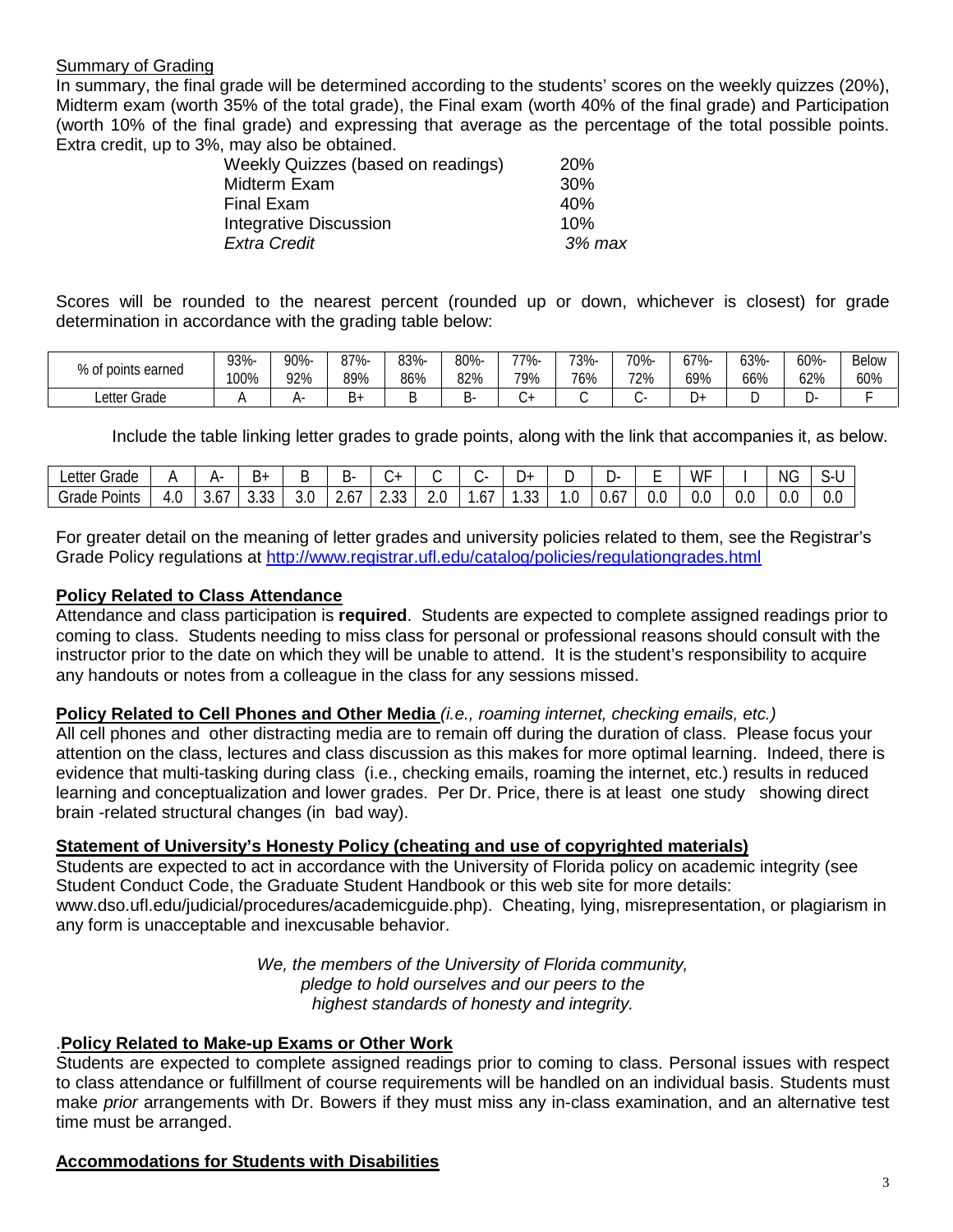### Summary of Grading

In summary, the final grade will be determined according to the students' scores on the weekly quizzes (20%), Midterm exam (worth 35% of the total grade), the Final exam (worth 40% of the final grade) and Participation (worth 10% of the final grade) and expressing that average as the percentage of the total possible points. Extra credit, up to 3%, may also be obtained.

| Weekly Quizzes (based on readings) | <b>20%</b> |
|------------------------------------|------------|
| Midterm Exam                       | 30%        |
| Final Exam                         | 40%        |
| <b>Integrative Discussion</b>      | 10%        |
| <b>Extra Credit</b>                | 3% max     |
|                                    |            |

Scores will be rounded to the nearest percent (rounded up or down, whichever is closest) for grade determination in accordance with the grading table below:

| % of points earned | 93%- | 90%- | 87%- | 83%- | 80% | -77% | 73%- | 70%- | 67%-   | 63%- | 60% | <b>Below</b> |
|--------------------|------|------|------|------|-----|------|------|------|--------|------|-----|--------------|
|                    | 100% | 92%  | 89%  | 86%  | 82% | 9%   | 76%  | 72%  | 69%    | 66%  | 62% | 60%          |
| Letter Grade       |      |      | ь+   |      |     | ◡    |      |      | -<br>υ |      |     |              |

Include the table linking letter grades to grade points, along with the link that accompanies it, as below.

| ∟etter<br>$\sim$ $\sim$<br>Grade |                  | ∸           |                |                                 | ∽-<br>◡                | $\cdot$          |        |     | +ل              | ◡  | -ت        | -<br>- | $\overline{ }$<br>W.            |     | <b>NG</b> | ⌒<br>৲- ।<br><u>.</u> |
|----------------------------------|------------------|-------------|----------------|---------------------------------|------------------------|------------------|--------|-----|-----------------|----|-----------|--------|---------------------------------|-----|-----------|-----------------------|
| - -<br>$\sim$<br>Grade<br>Points | $\prime$<br>τ. υ | . U .<br>៶. | $\sim$<br>ບ.ບບ | $\overline{\phantom{0}}$<br>J.U | . –<br><u>r</u><br>، ب | $\sim$<br>$\sim$ | $\sim$ | .6. | $\sim$<br>. J J | ٠. | -<br>U.O. | υ.ι    | $\overline{\phantom{0}}$<br>v.u | 0.0 | ~<br>U.U  | ◡.                    |

For greater detail on the meaning of letter grades and university policies related to them, see the Registrar's Grade Policy regulations at<http://www.registrar.ufl.edu/catalog/policies/regulationgrades.html>

#### **Policy Related to Class Attendance**

Attendance and class participation is **required**. Students are expected to complete assigned readings prior to coming to class. Students needing to miss class for personal or professional reasons should consult with the instructor prior to the date on which they will be unable to attend. It is the student's responsibility to acquire any handouts or notes from a colleague in the class for any sessions missed.

#### **Policy Related to Cell Phones and Other Media** *(i.e., roaming internet, checking emails, etc.)*

All cell phones and other distracting media are to remain off during the duration of class. Please focus your attention on the class, lectures and class discussion as this makes for more optimal learning. Indeed, there is evidence that multi-tasking during class (i.e., checking emails, roaming the internet, etc.) results in reduced learning and conceptualization and lower grades. Per Dr. Price, there is at least one study showing direct brain -related structural changes (in bad way).

# **Statement of University's Honesty Policy (cheating and use of copyrighted materials)**

Students are expected to act in accordance with the University of Florida policy on academic integrity (see Student Conduct Code, the Graduate Student Handbook or this web site for more details: www.dso.ufl.edu/judicial/procedures/academicguide.php). Cheating, lying, misrepresentation, or plagiarism in any form is unacceptable and inexcusable behavior.

> *We, the members of the University of Florida community, pledge to hold ourselves and our peers to the highest standards of honesty and integrity.*

# .**Policy Related to Make-up Exams or Other Work**

Students are expected to complete assigned readings prior to coming to class. Personal issues with respect to class attendance or fulfillment of course requirements will be handled on an individual basis. Students must make *prior* arrangements with Dr. Bowers if they must miss any in-class examination, and an alternative test time must be arranged.

# **Accommodations for Students with Disabilities**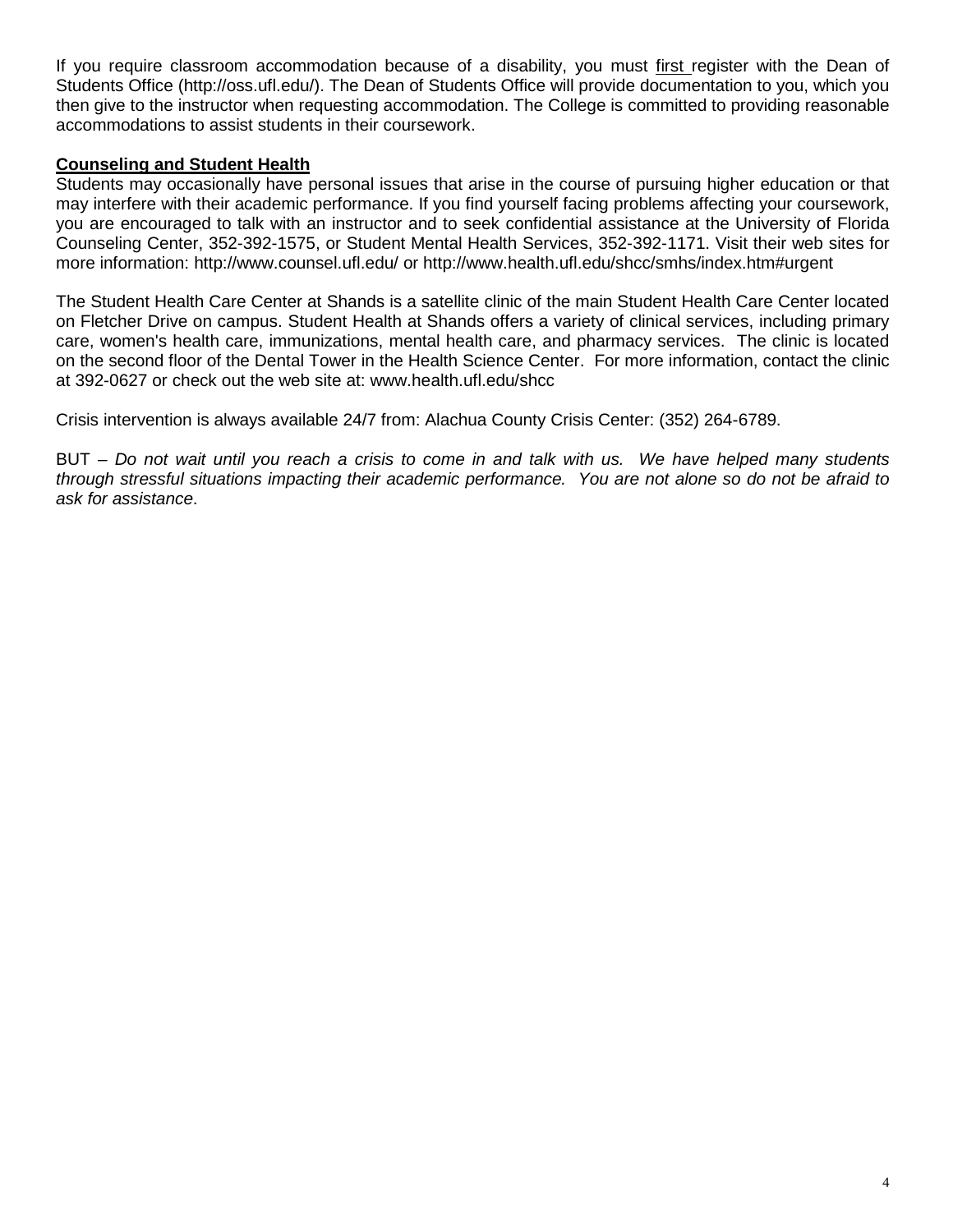If you require classroom accommodation because of a disability, you must first register with the Dean of Students Office (http://oss.ufl.edu/). The Dean of Students Office will provide documentation to you, which you then give to the instructor when requesting accommodation. The College is committed to providing reasonable accommodations to assist students in their coursework.

# **Counseling and Student Health**

Students may occasionally have personal issues that arise in the course of pursuing higher education or that may interfere with their academic performance. If you find yourself facing problems affecting your coursework, you are encouraged to talk with an instructor and to seek confidential assistance at the University of Florida Counseling Center, 352-392-1575, or Student Mental Health Services, 352-392-1171. Visit their web sites for more information: http://www.counsel.ufl.edu/ or http://www.health.ufl.edu/shcc/smhs/index.htm#urgent

The Student Health Care Center at Shands is a satellite clinic of the main Student Health Care Center located on Fletcher Drive on campus. Student Health at Shands offers a variety of clinical services, including primary care, women's health care, immunizations, mental health care, and pharmacy services. The clinic is located on the second floor of the Dental Tower in the Health Science Center. For more information, contact the clinic at 392-0627 or check out the web site at: www.health.ufl.edu/shcc

Crisis intervention is always available 24/7 from: Alachua County Crisis Center: (352) 264-6789.

BUT – *Do not wait until you reach a crisis to come in and talk with us. We have helped many students through stressful situations impacting their academic performance. You are not alone so do not be afraid to ask for assistance*.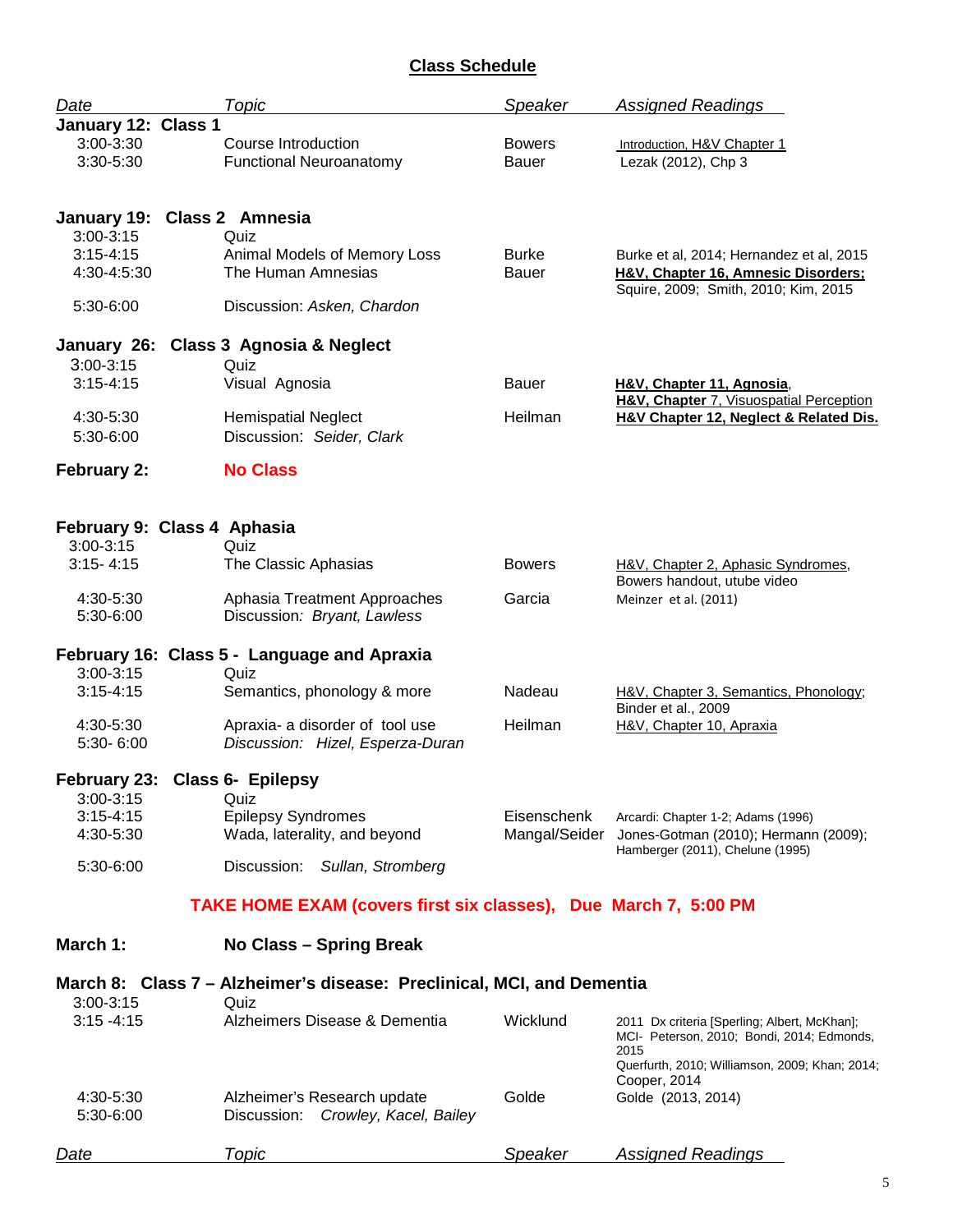# **Class Schedule**

| Date                           | Topic                                                                  | Speaker                       | <b>Assigned Readings</b>                                                                                                |  |  |
|--------------------------------|------------------------------------------------------------------------|-------------------------------|-------------------------------------------------------------------------------------------------------------------------|--|--|
| January 12: Class 1            |                                                                        |                               |                                                                                                                         |  |  |
| $3:00 - 3:30$<br>$3:30 - 5:30$ | Course Introduction<br><b>Functional Neuroanatomy</b>                  | <b>Bowers</b><br><b>Bauer</b> | Introduction, H&V Chapter 1<br>Lezak (2012), Chp 3                                                                      |  |  |
| January 19: Class 2 Amnesia    |                                                                        |                               |                                                                                                                         |  |  |
| $3:00 - 3:15$                  | Quiz                                                                   |                               |                                                                                                                         |  |  |
| $3:15 - 4:15$<br>4:30-4:5:30   | Animal Models of Memory Loss<br>The Human Amnesias                     | Burke<br>Bauer                | Burke et al, 2014; Hernandez et al, 2015<br>H&V, Chapter 16, Amnesic Disorders;<br>Squire, 2009; Smith, 2010; Kim, 2015 |  |  |
| 5:30-6:00                      | Discussion: Asken, Chardon                                             |                               |                                                                                                                         |  |  |
|                                | January 26: Class 3 Agnosia & Neglect                                  |                               |                                                                                                                         |  |  |
| $3:00-3:15$                    | Quiz                                                                   |                               |                                                                                                                         |  |  |
| $3:15 - 4:15$                  | Visual Agnosia                                                         | <b>Bauer</b>                  | H&V, Chapter 11, Agnosia,<br>H&V, Chapter 7, Visuospatial Perception                                                    |  |  |
| 4:30-5:30<br>5:30-6:00         | <b>Hemispatial Neglect</b><br>Discussion: Seider, Clark                | Heilman                       | H&V Chapter 12, Neglect & Related Dis.                                                                                  |  |  |
| <b>February 2:</b>             | <b>No Class</b>                                                        |                               |                                                                                                                         |  |  |
|                                |                                                                        |                               |                                                                                                                         |  |  |
| February 9: Class 4 Aphasia    |                                                                        |                               |                                                                                                                         |  |  |
| $3:00 - 3:15$                  | Quiz                                                                   |                               |                                                                                                                         |  |  |
| $3:15 - 4:15$                  | The Classic Aphasias                                                   | <b>Bowers</b>                 | H&V, Chapter 2, Aphasic Syndromes,<br>Bowers handout, utube video                                                       |  |  |
| 4:30-5:30<br>5:30-6:00         | Aphasia Treatment Approaches<br>Discussion: Bryant, Lawless            | Garcia                        | Meinzer et al. (2011)                                                                                                   |  |  |
|                                | February 16: Class 5 - Language and Apraxia                            |                               |                                                                                                                         |  |  |
| $3:00-3:15$                    | Quiz                                                                   |                               |                                                                                                                         |  |  |
| $3:15 - 4:15$                  | Semantics, phonology & more                                            | Nadeau                        | H&V, Chapter 3, Semantics, Phonology;<br>Binder et al., 2009                                                            |  |  |
| 4:30-5:30<br>5:30-6:00         | Apraxia- a disorder of tool use<br>Discussion: Hizel, Esperza-Duran    | Heilman                       | H&V, Chapter 10, Apraxia                                                                                                |  |  |
| February 23: Class 6- Epilepsy |                                                                        |                               |                                                                                                                         |  |  |
| $3:00 - 3:15$<br>$3:15 - 4:15$ | Quiz<br><b>Epilepsy Syndromes</b>                                      | Eisenschenk                   |                                                                                                                         |  |  |
| 4:30-5:30                      | Wada, laterality, and beyond                                           | Mangal/Seider                 | Arcardi: Chapter 1-2; Adams (1996)<br>Jones-Gotman (2010); Hermann (2009);                                              |  |  |
| 5:30-6:00                      | Discussion:<br>Sullan, Stromberg                                       |                               | Hamberger (2011), Chelune (1995)                                                                                        |  |  |
|                                | TAKE HOME EXAM (covers first six classes), Due March 7, 5:00 PM        |                               |                                                                                                                         |  |  |
| March 1:                       | No Class - Spring Break                                                |                               |                                                                                                                         |  |  |
|                                | March 8: Class 7 – Alzheimer's disease: Preclinical, MCI, and Dementia |                               |                                                                                                                         |  |  |
| 3:00-3:15                      | Quiz                                                                   |                               |                                                                                                                         |  |  |
| $3:15 - 4:15$                  | Alzheimers Disease & Dementia                                          | Wicklund                      | 2011 Dx criteria [Sperling; Albert, McKhan];<br>MCI- Peterson, 2010; Bondi, 2014; Edmonds,<br>2015                      |  |  |
|                                |                                                                        |                               | Querfurth, 2010; Williamson, 2009; Khan; 2014;                                                                          |  |  |
| 4:30-5:30<br>5:30-6:00         | Alzheimer's Research update<br>Discussion: Crowley, Kacel, Bailey      | Golde                         | Cooper, 2014<br>Golde (2013, 2014)                                                                                      |  |  |
| Date                           | Topic                                                                  | Speaker                       | <b>Assigned Readings</b>                                                                                                |  |  |